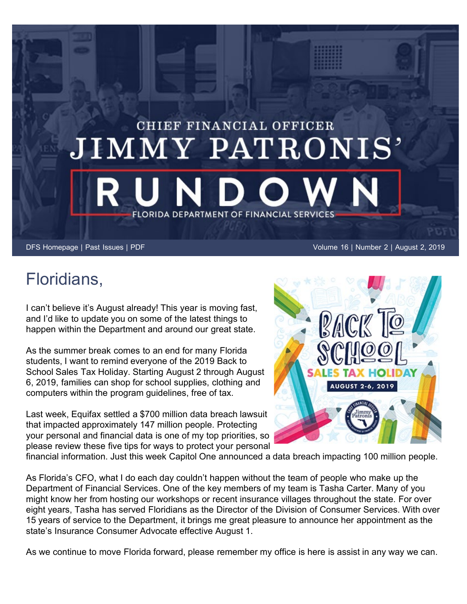## CHIEF FINANCIAL OFFICER JIMMY PATRONIS' FLORIDA DEPARTMENT OF FINANCIAL SERVICES

[DFS Homepage](https://www.myfloridacfo.com/) | [Past Issues](https://myfloridacfo.com/pressoffice/newsletter/2019/archive/newsletterarchive.htm) | [PDF](https://myfloridacfo.com/pressoffice/newsletter/2019/080219/August_0219.pdf) Volume 16 | Number 2 | August 2, 2019

## Floridians,

I can't believe it's August already! This year is moving fast, and I'd like to update you on some of the latest things to happen within the Department and around our great state.

As the summer break comes to an end for many Florida students, I want to remind everyone of the 2019 Back to School Sales Tax Holiday. Starting August 2 through August 6, 2019, families can shop for school supplies, clothing and computers within the program guidelines, free of tax.

Last week, Equifax settled a \$700 million data breach lawsuit that impacted approximately 147 million people. Protecting your personal and financial data is one of my top priorities, so please review these five tips for ways to protect your personal



financial information. Just this week Capitol One announced a data breach impacting 100 million people.

As Florida's CFO, what I do each day couldn't happen without the team of people who make up the Department of Financial Services. One of the key members of my team is Tasha Carter. Many of you might know her from hosting our workshops or recent insurance villages throughout the state. For over eight years, Tasha has served Floridians as the Director of the Division of Consumer Services. With over 15 years of service to the Department, it brings me great pleasure to announce her appointment as the state's Insurance Consumer Advocate effective August 1.

As we continue to move Florida forward, please remember my office is here is assist in any way we can.